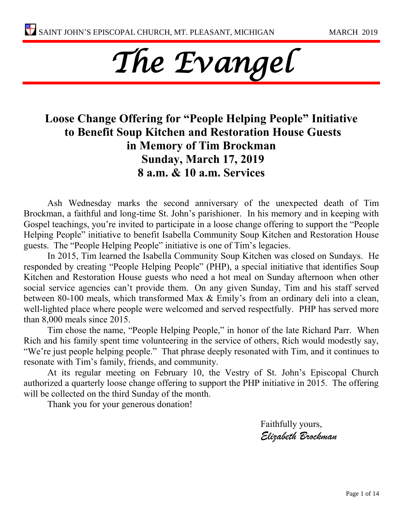

### **Loose Change Offering for "People Helping People" Initiative to Benefit Soup Kitchen and Restoration House Guests in Memory of Tim Brockman Sunday, March 17, 2019 8 a.m. & 10 a.m. Services**

Ash Wednesday marks the second anniversary of the unexpected death of Tim Brockman, a faithful and long-time St. John's parishioner. In his memory and in keeping with Gospel teachings, you're invited to participate in a loose change offering to support the "People Helping People" initiative to benefit Isabella Community Soup Kitchen and Restoration House guests. The "People Helping People" initiative is one of Tim's legacies.

In 2015, Tim learned the Isabella Community Soup Kitchen was closed on Sundays. He responded by creating "People Helping People" (PHP), a special initiative that identifies Soup Kitchen and Restoration House guests who need a hot meal on Sunday afternoon when other social service agencies can't provide them. On any given Sunday, Tim and his staff served between 80-100 meals, which transformed Max & Emily's from an ordinary deli into a clean, well-lighted place where people were welcomed and served respectfully. PHP has served more than 8,000 meals since 2015.

Tim chose the name, "People Helping People," in honor of the late Richard Parr. When Rich and his family spent time volunteering in the service of others, Rich would modestly say, "We're just people helping people." That phrase deeply resonated with Tim, and it continues to resonate with Tim's family, friends, and community.

At its regular meeting on February 10, the Vestry of St. John's Episcopal Church authorized a quarterly loose change offering to support the PHP initiative in 2015. The offering will be collected on the third Sunday of the month.

Thank you for your generous donation!

Faithfully yours, *Elizabeth Brockman*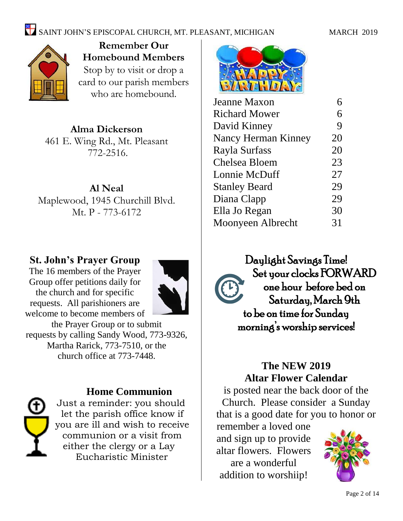## SAINT JOHN'S EPISCOPAL CHURCH, MT. PLEASANT, MICHIGAN MARCH 2019



**Remember Our Homebound Members** Stop by to visit or drop a card to our parish members who are homebound.

**Alma Dickerson** 461 E. Wing Rd., Mt. Pleasant 772-2516.

**Al Neal** Maplewood, 1945 Churchill Blvd. Mt. P - 773-6172

### **St. John's Prayer Group**

The 16 members of the Prayer Group offer petitions daily for the church and for specific requests. All parishioners are welcome to become members of the Prayer Group or to submit requests by calling Sandy Wood, 773-9326, Martha Rarick, 773-7510, or the church office at 773-7448.



#### **Home Communion**

Just a reminder: you should let the parish office know if you are ill and wish to receive communion or a visit from either the clergy or a Lay Eucharistic Minister



| 6  |
|----|
| 9  |
| 20 |
| 20 |
| 23 |
| 27 |
| 29 |
| 29 |
| 30 |
| 31 |
|    |

Daylight Savings Time! Set your clocks FORWARD one hour before bed on Saturday, March 9th to be on time for Sunday morning's worship services!

### **The NEW 2019 Altar Flower Calendar**

is posted near the back door of the Church. Please consider a Sunday that is a good date for you to honor or

remember a loved one and sign up to provide altar flowers. Flowers are a wonderful addition to worshiip!

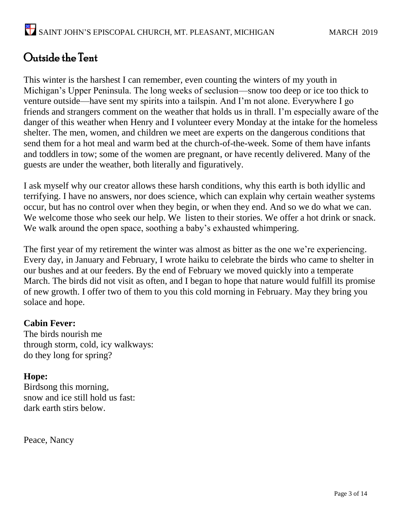## Outside the Tent

This winter is the harshest I can remember, even counting the winters of my youth in Michigan's Upper Peninsula. The long weeks of seclusion—snow too deep or ice too thick to venture outside—have sent my spirits into a tailspin. And I'm not alone. Everywhere I go friends and strangers comment on the weather that holds us in thrall. I'm especially aware of the danger of this weather when Henry and I volunteer every Monday at the intake for the homeless shelter. The men, women, and children we meet are experts on the dangerous conditions that send them for a hot meal and warm bed at the church-of-the-week. Some of them have infants and toddlers in tow; some of the women are pregnant, or have recently delivered. Many of the guests are under the weather, both literally and figuratively.

I ask myself why our creator allows these harsh conditions, why this earth is both idyllic and terrifying. I have no answers, nor does science, which can explain why certain weather systems occur, but has no control over when they begin, or when they end. And so we do what we can. We welcome those who seek our help. We listen to their stories. We offer a hot drink or snack. We walk around the open space, soothing a baby's exhausted whimpering.

The first year of my retirement the winter was almost as bitter as the one we're experiencing. Every day, in January and February, I wrote haiku to celebrate the birds who came to shelter in our bushes and at our feeders. By the end of February we moved quickly into a temperate March. The birds did not visit as often, and I began to hope that nature would fulfill its promise of new growth. I offer two of them to you this cold morning in February. May they bring you solace and hope.

#### **Cabin Fever:**

The birds nourish me through storm, cold, icy walkways: do they long for spring?

#### **Hope:**

Birdsong this morning, snow and ice still hold us fast: dark earth stirs below.

Peace, Nancy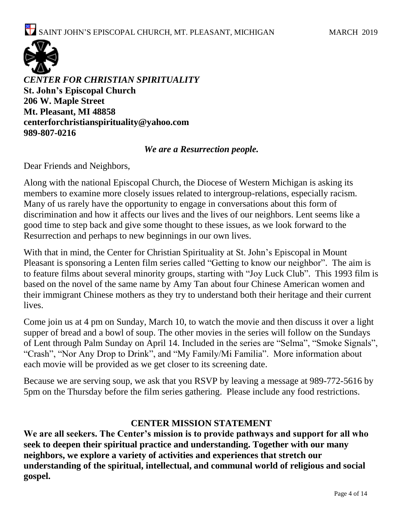

*CENTER FOR CHRISTIAN SPIRITUALITY* **St. John's Episcopal Church 206 W. Maple Street Mt. Pleasant, MI 48858 [centerforchristianspirituality@yahoo.com](mailto:centerforchristianspirituality@yahoo.com) 989-807-0216**

#### *We are a Resurrection people.*

Dear Friends and Neighbors,

Along with the national Episcopal Church, the Diocese of Western Michigan is asking its members to examine more closely issues related to intergroup-relations, especially racism. Many of us rarely have the opportunity to engage in conversations about this form of discrimination and how it affects our lives and the lives of our neighbors. Lent seems like a good time to step back and give some thought to these issues, as we look forward to the Resurrection and perhaps to new beginnings in our own lives.

With that in mind, the Center for Christian Spirituality at St. John's Episcopal in Mount Pleasant is sponsoring a Lenten film series called "Getting to know our neighbor". The aim is to feature films about several minority groups, starting with "Joy Luck Club". This 1993 film is based on the novel of the same name by Amy Tan about four Chinese American women and their immigrant Chinese mothers as they try to understand both their heritage and their current lives.

Come join us at 4 pm on Sunday, March 10, to watch the movie and then discuss it over a light supper of bread and a bowl of soup. The other movies in the series will follow on the Sundays of Lent through Palm Sunday on April 14. Included in the series are "Selma", "Smoke Signals", "Crash", "Nor Any Drop to Drink", and "My Family/Mi Familia". More information about each movie will be provided as we get closer to its screening date.

Because we are serving soup, we ask that you RSVP by leaving a message at 989-772-5616 by 5pm on the Thursday before the film series gathering. Please include any food restrictions.

#### **CENTER MISSION STATEMENT**

**We are all seekers. The Center's mission is to provide pathways and support for all who seek to deepen their spiritual practice and understanding. Together with our many neighbors, we explore a variety of activities and experiences that stretch our understanding of the spiritual, intellectual, and communal world of religious and social gospel.**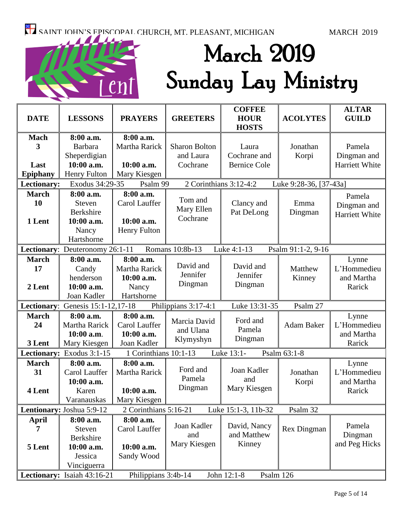# March 2019 Sunday Lay Ministry

| <b>DATE</b>                                                                             | <b>LESSONS</b>                      | <b>PRAYERS</b>        | <b>GREETERS</b>        | <b>COFFEE</b><br><b>HOUR</b><br><b>HOSTS</b> | <b>ACOLYTES</b>        | <b>ALTAR</b><br><b>GUILD</b> |  |
|-----------------------------------------------------------------------------------------|-------------------------------------|-----------------------|------------------------|----------------------------------------------|------------------------|------------------------------|--|
| <b>Mach</b>                                                                             | 8:00 a.m.                           | 8:00 a.m.             |                        |                                              |                        |                              |  |
| 3                                                                                       | <b>Barbara</b>                      | Martha Rarick         | <b>Sharon Bolton</b>   | Laura                                        | Jonathan               | Pamela                       |  |
|                                                                                         | Sheperdigian                        |                       | and Laura              | Cochrane and                                 | Korpi                  | Dingman and                  |  |
| Last                                                                                    | 10:00 a.m.                          | 10:00 a.m.            | Cochrane               | <b>Bernice Cole</b>                          |                        | Harriett White               |  |
| <b>Epiphany</b>                                                                         | Henry Fulton                        | Mary Kiesgen          |                        |                                              |                        |                              |  |
| Lectionary:                                                                             | Exodus 34:29-35                     | Psalm 99              | 2 Corinthians 3:12-4:2 |                                              | Luke 9:28-36, [37-43a] |                              |  |
| <b>March</b>                                                                            | 8:00 a.m.                           | 8:00 a.m.             |                        |                                              |                        | Pamela                       |  |
| 10                                                                                      | <b>Steven</b>                       | Carol Lauffer         | Tom and                | Clancy and                                   | Emma                   | Dingman and                  |  |
|                                                                                         | <b>Berkshire</b>                    |                       | Mary Ellen             | Pat DeLong                                   | Dingman                | Harriett White               |  |
| 1 Lent                                                                                  | 10:00 a.m.                          | 10:00 a.m.            | Cochrane               |                                              |                        |                              |  |
|                                                                                         | Nancy                               | <b>Henry Fulton</b>   |                        |                                              |                        |                              |  |
|                                                                                         | Hartshorne                          |                       |                        |                                              |                        |                              |  |
| Lectionary: Deuteronomy 26:1-11<br>Romans 10:8b-13<br>Luke 4:1-13<br>Psalm 91:1-2, 9-16 |                                     |                       |                        |                                              |                        |                              |  |
| <b>March</b>                                                                            | 8:00 a.m.                           | 8:00 a.m.             |                        |                                              |                        | Lynne                        |  |
| 17                                                                                      | Candy                               | Martha Rarick         | David and              | David and                                    | Matthew                | L'Hommedieu                  |  |
|                                                                                         | henderson                           | 10:00 a.m.            | Jennifer               | Jennifer                                     | Kinney                 | and Martha                   |  |
| 2 Lent                                                                                  | 10:00 a.m.                          | Nancy                 | Dingman                | Dingman                                      |                        | Rarick                       |  |
|                                                                                         | Joan Kadler                         | Hartshorne            |                        |                                              |                        |                              |  |
|                                                                                         | Lectionary: Genesis $15:1-12,17-18$ |                       | Philippians 3:17-4:1   | Luke 13:31-35                                | Psalm 27               |                              |  |
| <b>March</b>                                                                            | 8:00 a.m.                           | 8:00 a.m.             |                        | Ford and                                     |                        | Lynne                        |  |
| 24                                                                                      | Martha Rarick                       | Carol Lauffer         | Marcia David           | Pamela                                       | <b>Adam Baker</b>      | L'Hommedieu                  |  |
|                                                                                         | 10:00 a.m.                          | 10:00 a.m.            | and Ulana              |                                              |                        | and Martha                   |  |
| 3 Lent                                                                                  | Mary Kiesgen                        | Joan Kadler           | Klymyshyn              | Dingman                                      |                        | Rarick                       |  |
|                                                                                         | Lectionary: Exodus 3:1-15           | 1 Corinthians 10:1-13 |                        | Luke 13:1-                                   | Psalm 63:1-8           |                              |  |
| <b>March</b>                                                                            | 8:00 a.m.                           | 8:00 a.m.             |                        |                                              |                        | Lynne                        |  |
| 31                                                                                      | Carol Lauffer                       | Martha Rarick         | Ford and               | Joan Kadler                                  | Jonathan               | L'Hommedieu                  |  |
|                                                                                         | 10:00 a.m.                          |                       | Pamela                 | and                                          | Korpi                  | and Martha                   |  |
| 4 Lent                                                                                  | Karen                               | 10:00 a.m.            | Dingman                | Mary Kiesgen                                 |                        | Rarick                       |  |
|                                                                                         | Varanauskas                         | Mary Kiesgen          |                        |                                              |                        |                              |  |
|                                                                                         | Lentionary: Joshua 5:9-12           | 2 Corinthians 5:16-21 |                        | Luke 15:1-3, 11b-32                          | Psalm 32               |                              |  |
| <b>April</b>                                                                            | 8:00 a.m.                           | 8:00 a.m.             |                        |                                              |                        |                              |  |
| 7                                                                                       | Steven                              | Carol Lauffer         | Joan Kadler            | David, Nancy                                 | Rex Dingman            | Pamela                       |  |
|                                                                                         | Berkshire                           |                       | and                    | and Matthew                                  |                        | Dingman                      |  |
| 5 Lent                                                                                  | 10:00 a.m.                          | 10:00 a.m.            | Mary Kiesgen           | Kinney                                       |                        | and Peg Hicks                |  |
|                                                                                         | Jessica                             | Sandy Wood            |                        |                                              |                        |                              |  |
|                                                                                         | Vinciguerra                         |                       |                        |                                              |                        |                              |  |
|                                                                                         | Lectionary: Isaiah 43:16-21         | Philippians 3:4b-14   |                        | John 12:1-8<br>Psalm 126                     |                        |                              |  |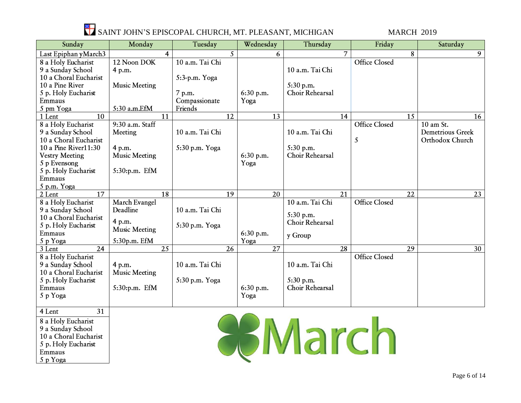

| Sunday                    | Monday               | Tuesday         |                 | Wednesday | Thursday                  |    | Friday               |                 | Saturday                |
|---------------------------|----------------------|-----------------|-----------------|-----------|---------------------------|----|----------------------|-----------------|-------------------------|
| Last Epiphan yMarch3      | 4                    |                 | 5               | 6         |                           | 7  |                      | 8               | $\overline{9}$          |
| 8 a Holy Eucharist        | 12 Noon DOK          | 10 a.m. Tai Chi |                 |           |                           |    | <b>Office Closed</b> |                 |                         |
| 9 a Sunday School         | 4 p.m.               |                 |                 |           | 10 a.m. Tai Chi           |    |                      |                 |                         |
| 10 a Choral Eucharist     |                      | 5:3-p.m. Yoga   |                 |           |                           |    |                      |                 |                         |
| 10 a Pine River           | <b>Music Meeting</b> |                 |                 |           | 5:30 p.m.                 |    |                      |                 |                         |
| 5 p. Holy Eucharist       |                      | 7 p.m.          |                 | 6:30 p.m. | Choir Rehearsal           |    |                      |                 |                         |
| Emmaus                    |                      | Compassionate   |                 | Yoga      |                           |    |                      |                 |                         |
| 5 pm Yoga                 | 5:30 a.m.EfM         | Friends         |                 |           |                           |    |                      |                 |                         |
| 10<br>1 Lent              | 11                   |                 | 12              | 13        |                           | 14 |                      | 15              | 16                      |
| 8 a Holy Eucharist        | 9:30 a.m. Staff      |                 |                 |           |                           |    | <b>Office Closed</b> |                 | 10 am St.               |
| 9 a Sunday School         | Meeting              | 10 a.m. Tai Chi |                 |           | 10 a.m. Tai Chi           |    |                      |                 | <b>Demetrious Greek</b> |
| 10 a Choral Eucharist     |                      |                 |                 |           |                           |    | 5                    |                 | Orthodox Church         |
| 10 a Pine River11:30      | 4 p.m.               | 5:30 p.m. Yoga  |                 |           | 5:30 p.m.                 |    |                      |                 |                         |
| <b>Vestry Meeting</b>     | <b>Music Meeting</b> |                 |                 | 6:30 p.m. | Choir Rehearsal           |    |                      |                 |                         |
| 5 p Evensong              |                      |                 |                 | Yoga      |                           |    |                      |                 |                         |
| 5 p. Holy Eucharist       | 5:30:p.m. EfM        |                 |                 |           |                           |    |                      |                 |                         |
| Emmaus                    |                      |                 |                 |           |                           |    |                      |                 |                         |
| 5 p.m. Yoga               |                      |                 |                 |           |                           |    |                      |                 |                         |
| $\overline{17}$<br>2 Lent | $\overline{18}$      |                 | $\overline{19}$ | 20        |                           | 21 |                      | $\overline{22}$ | 23                      |
| 8 a Holy Eucharist        | March Evangel        |                 |                 |           | 10 a.m. Tai Chi           |    | <b>Office Closed</b> |                 |                         |
| 9 a Sunday School         | Deadline             | 10 a.m. Tai Chi |                 |           |                           |    |                      |                 |                         |
| 10 a Choral Eucharist     |                      |                 |                 |           | 5:30 p.m.                 |    |                      |                 |                         |
| 5 p. Holy Eucharist       | 4 p.m.               | 5:30 p.m. Yoga  |                 |           | Choir Rehearsal           |    |                      |                 |                         |
| Emmaus                    | <b>Music Meeting</b> |                 |                 | 6:30 p.m. | y Group                   |    |                      |                 |                         |
| 5 p Yoga                  | 5:30p.m. EfM         |                 |                 | Yoga      |                           |    |                      |                 |                         |
| 24<br>3 Lent              | 25                   |                 | 26              | 27        |                           | 28 |                      | 29              | 30                      |
| 8 a Holy Eucharist        |                      |                 |                 |           |                           |    | <b>Office Closed</b> |                 |                         |
| 9 a Sunday School         | 4 p.m.               | 10 a.m. Tai Chi |                 |           | 10 a.m. Tai Chi           |    |                      |                 |                         |
| 10 a Choral Eucharist     | <b>Music Meeting</b> |                 |                 |           |                           |    |                      |                 |                         |
| 5 p. Holy Eucharist       |                      | 5:30 p.m. Yoga  |                 |           | 5:30 p.m.                 |    |                      |                 |                         |
| Emmaus                    | 5:30:p.m. EfM        |                 |                 | 6:30 p.m. | Choir Rehearsal           |    |                      |                 |                         |
| 5 p Yoga                  |                      |                 |                 | Yoga      |                           |    |                      |                 |                         |
|                           |                      |                 |                 |           |                           |    |                      |                 |                         |
| $\overline{31}$<br>4 Lent |                      |                 |                 |           |                           |    |                      |                 |                         |
| 8 a Holy Eucharist        |                      |                 |                 |           |                           |    |                      |                 |                         |
| 9 a Sunday School         |                      |                 |                 |           | <b>HEMPLE DESCRIPTION</b> |    |                      |                 |                         |
| 10 a Choral Eucharist     |                      |                 |                 |           |                           |    |                      |                 |                         |
| 5 p. Holy Eucharist       |                      |                 |                 |           |                           |    |                      |                 |                         |
| Emmaus                    |                      |                 |                 |           |                           |    |                      |                 |                         |
| 5 p Yoga                  |                      |                 |                 |           |                           |    |                      |                 |                         |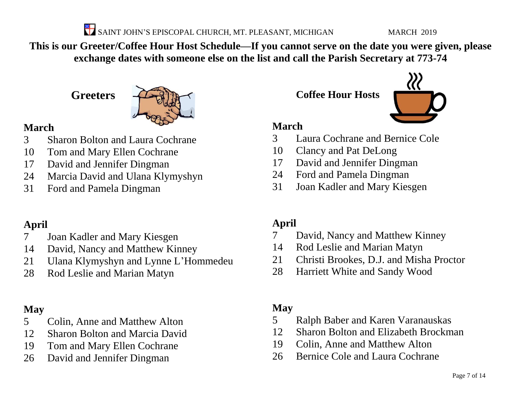SAINT JOHN'S EPISCOPAL CHURCH, MT. PLEASANT, MICHIGAN MARCH 2019

**This is our Greeter/Coffee Hour Host Schedule—If you cannot serve on the date you were given, please exchange dates with someone else on the list and call the Parish Secretary at 773-74**

**Greeters**



### **March**

- Sharon Bolton and Laura Cochrane
- Tom and Mary Ellen Cochrane
- David and Jennifer Dingman
- Marcia David and Ulana Klymyshyn
- Ford and Pamela Dingman

### **April**

- Joan Kadler and Mary Kiesgen
- David, Nancy and Matthew Kinney
- Ulana Klymyshyn and Lynne L'Hommedeu
- Rod Leslie and Marian Matyn

### **May**

- Colin, Anne and Matthew Alton
- Sharon Bolton and Marcia David
- Tom and Mary Ellen Cochrane
- David and Jennifer Dingman

**Coffee Hour Hosts**



### **March**

- Laura Cochrane and Bernice Cole
- Clancy and Pat DeLong
- David and Jennifer Dingman
- Ford and Pamela Dingman
- Joan Kadler and Mary Kiesgen

### **April**

- David, Nancy and Matthew Kinney
- Rod Leslie and Marian Matyn
- Christi Brookes, D.J. and Misha Proctor
- Harriett White and Sandy Wood

### **May**

- Ralph Baber and Karen Varanauskas
- Sharon Bolton and Elizabeth Brockman
- Colin, Anne and Matthew Alton
- Bernice Cole and Laura Cochrane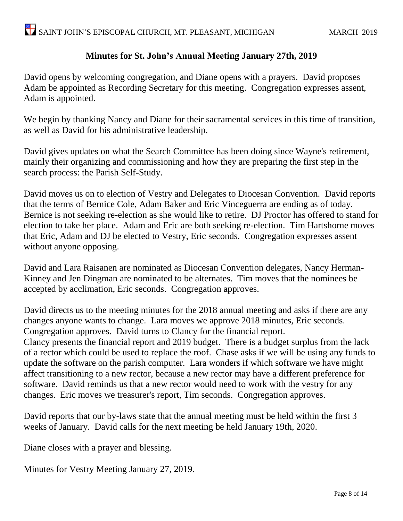#### **Minutes for St. John's Annual Meeting January 27th, 2019**

David opens by welcoming congregation, and Diane opens with a prayers. David proposes Adam be appointed as Recording Secretary for this meeting. Congregation expresses assent, Adam is appointed.

We begin by thanking Nancy and Diane for their sacramental services in this time of transition, as well as David for his administrative leadership.

David gives updates on what the Search Committee has been doing since Wayne's retirement, mainly their organizing and commissioning and how they are preparing the first step in the search process: the Parish Self-Study.

David moves us on to election of Vestry and Delegates to Diocesan Convention. David reports that the terms of Bernice Cole, Adam Baker and Eric Vinceguerra are ending as of today. Bernice is not seeking re-election as she would like to retire. DJ Proctor has offered to stand for election to take her place. Adam and Eric are both seeking re-election. Tim Hartshorne moves that Eric, Adam and DJ be elected to Vestry, Eric seconds. Congregation expresses assent without anyone opposing.

David and Lara Raisanen are nominated as Diocesan Convention delegates, Nancy Herman-Kinney and Jen Dingman are nominated to be alternates. Tim moves that the nominees be accepted by acclimation, Eric seconds. Congregation approves.

David directs us to the meeting minutes for the 2018 annual meeting and asks if there are any changes anyone wants to change. Lara moves we approve 2018 minutes, Eric seconds. Congregation approves. David turns to Clancy for the financial report. Clancy presents the financial report and 2019 budget. There is a budget surplus from the lack of a rector which could be used to replace the roof. Chase asks if we will be using any funds to update the software on the parish computer. Lara wonders if which software we have might affect transitioning to a new rector, because a new rector may have a different preference for software. David reminds us that a new rector would need to work with the vestry for any changes. Eric moves we treasurer's report, Tim seconds. Congregation approves.

David reports that our by-laws state that the annual meeting must be held within the first 3 weeks of January. David calls for the next meeting be held January 19th, 2020.

Diane closes with a prayer and blessing.

Minutes for Vestry Meeting January 27, 2019.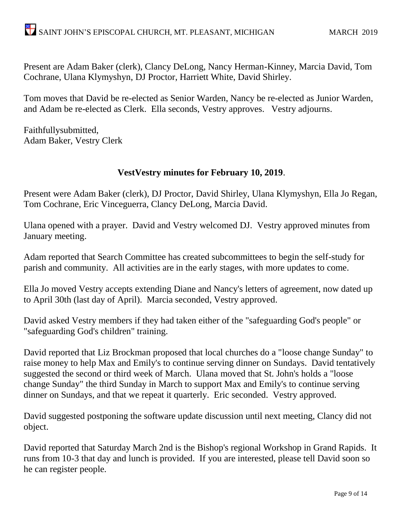Present are Adam Baker (clerk), Clancy DeLong, Nancy Herman-Kinney, Marcia David, Tom Cochrane, Ulana Klymyshyn, DJ Proctor, Harriett White, David Shirley.

Tom moves that David be re-elected as Senior Warden, Nancy be re-elected as Junior Warden, and Adam be re-elected as Clerk. Ella seconds, Vestry approves. Vestry adjourns.

Faithfullysubmitted, Adam Baker, Vestry Clerk

#### **VestVestry minutes for February 10, 2019**.

Present were Adam Baker (clerk), DJ Proctor, David Shirley, Ulana Klymyshyn, Ella Jo Regan, Tom Cochrane, Eric Vinceguerra, Clancy DeLong, Marcia David.

Ulana opened with a prayer. David and Vestry welcomed DJ. Vestry approved minutes from January meeting.

Adam reported that Search Committee has created subcommittees to begin the self-study for parish and community. All activities are in the early stages, with more updates to come.

Ella Jo moved Vestry accepts extending Diane and Nancy's letters of agreement, now dated up to April 30th (last day of April). Marcia seconded, Vestry approved.

David asked Vestry members if they had taken either of the "safeguarding God's people" or "safeguarding God's children" training.

David reported that Liz Brockman proposed that local churches do a "loose change Sunday" to raise money to help Max and Emily's to continue serving dinner on Sundays. David tentatively suggested the second or third week of March. Ulana moved that St. John's holds a "loose change Sunday" the third Sunday in March to support Max and Emily's to continue serving dinner on Sundays, and that we repeat it quarterly. Eric seconded. Vestry approved.

David suggested postponing the software update discussion until next meeting, Clancy did not object.

David reported that Saturday March 2nd is the Bishop's regional Workshop in Grand Rapids. It runs from 10-3 that day and lunch is provided. If you are interested, please tell David soon so he can register people.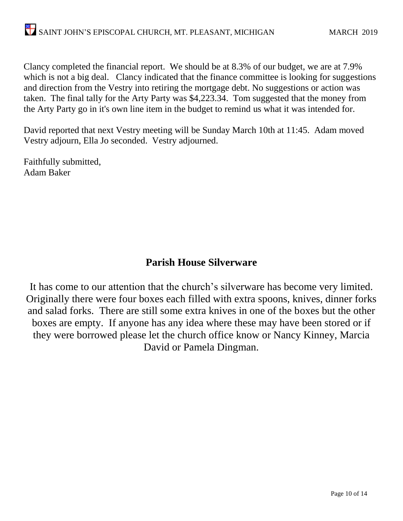Clancy completed the financial report. We should be at 8.3% of our budget, we are at 7.9% which is not a big deal. Clancy indicated that the finance committee is looking for suggestions and direction from the Vestry into retiring the mortgage debt. No suggestions or action was taken. The final tally for the Arty Party was \$4,223.34. Tom suggested that the money from the Arty Party go in it's own line item in the budget to remind us what it was intended for.

David reported that next Vestry meeting will be Sunday March 10th at 11:45. Adam moved Vestry adjourn, Ella Jo seconded. Vestry adjourned.

Faithfully submitted, Adam Baker

#### **Parish House Silverware**

It has come to our attention that the church's silverware has become very limited. Originally there were four boxes each filled with extra spoons, knives, dinner forks and salad forks. There are still some extra knives in one of the boxes but the other boxes are empty. If anyone has any idea where these may have been stored or if they were borrowed please let the church office know or Nancy Kinney, Marcia David or Pamela Dingman.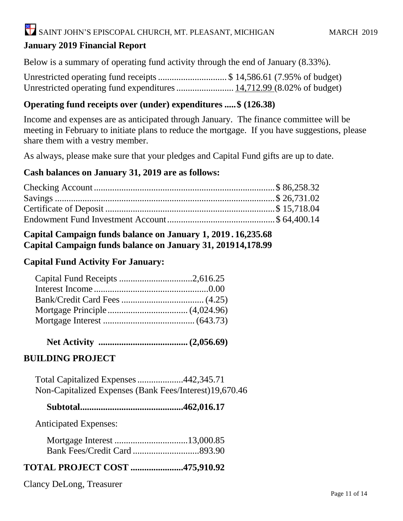#### **January 2019 Financial Report**

Below is a summary of operating fund activity through the end of January (8.33%).

Unrestricted operating fund receipts.............................. \$ 14,586.61 (7.95% of budget) Unrestricted operating fund expenditures......................... 14,712.99 (8.02% of budget)

#### **Operating fund receipts over (under) expenditures .....\$ (126.38)**

Income and expenses are as anticipated through January. The finance committee will be meeting in February to initiate plans to reduce the mortgage. If you have suggestions, please share them with a vestry member.

As always, please make sure that your pledges and Capital Fund gifts are up to date.

#### **Cash balances on January 31, 2019 are as follows:**

#### **Capital Campaign funds balance on January 1, 2019 . 16,235.68 Capital Campaign funds balance on January 31, 201914,178.99**

#### **Capital Fund Activity For January:**

| Capital Fund Receipts 2,616.25 |  |
|--------------------------------|--|
|                                |  |
|                                |  |
|                                |  |
|                                |  |

 **Net Activity ....................................... (2,056.69)**

#### **BUILDING PROJECT**

 Total Capitalized Expenses....................442,345.71 Non-Capitalized Expenses (Bank Fees/Interest)19,670.46

 **Subtotal.............................................462,016.17**

Anticipated Expenses:

#### **TOTAL PROJECT COST .......................475,910.92**

Clancy DeLong, Treasurer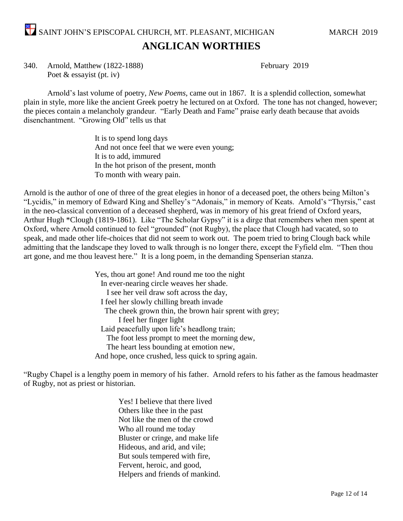SAINT JOHN'S EPISCOPAL CHURCH, MT. PLEASANT, MICHIGAN MARCH 2019 **ANGLICAN WORTHIES**

340. Arnold, Matthew (1822-1888) February 2019 Poet & essayist (pt. iv)

Arnold's last volume of poetry, *New Poems*, came out in 1867. It is a splendid collection, somewhat plain in style, more like the ancient Greek poetry he lectured on at Oxford. The tone has not changed, however; the pieces contain a melancholy grandeur. "Early Death and Fame" praise early death because that avoids disenchantment. "Growing Old" tells us that

> It is to spend long days And not once feel that we were even young; It is to add, immured In the hot prison of the present, month To month with weary pain.

Arnold is the author of one of three of the great elegies in honor of a deceased poet, the others being Milton's "Lycidis," in memory of Edward King and Shelley's "Adonais," in memory of Keats. Arnold's "Thyrsis," cast in the neo-classical convention of a deceased shepherd, was in memory of his great friend of Oxford years, Arthur Hugh \*Clough (1819-1861). Like "The Scholar Gypsy" it is a dirge that remembers when men spent at Oxford, where Arnold continued to feel "grounded" (not Rugby), the place that Clough had vacated, so to speak, and made other life-choices that did not seem to work out. The poem tried to bring Clough back while admitting that the landscape they loved to walk through is no longer there, except the Fyfield elm. "Then thou art gone, and me thou leavest here." It is a long poem, in the demanding Spenserian stanza.

> Yes, thou art gone! And round me too the night In ever-nearing circle weaves her shade. I see her veil draw soft across the day, I feel her slowly chilling breath invade The cheek grown thin, the brown hair sprent with grey; I feel her finger light Laid peacefully upon life's headlong train; The foot less prompt to meet the morning dew, The heart less bounding at emotion new, And hope, once crushed, less quick to spring again.

"Rugby Chapel is a lengthy poem in memory of his father. Arnold refers to his father as the famous headmaster of Rugby, not as priest or historian.

> Yes! I believe that there lived Others like thee in the past Not like the men of the crowd Who all round me today Bluster or cringe, and make life Hideous, and arid, and vile; But souls tempered with fire, Fervent, heroic, and good, Helpers and friends of mankind.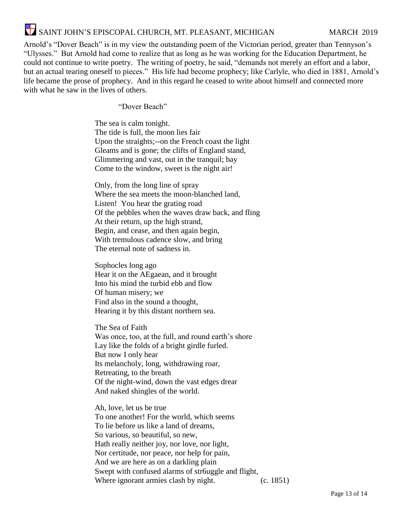# SAINT JOHN'S EPISCOPAL CHURCH, MT. PLEASANT, MICHIGAN MARCH 2019

Arnold's "Dover Beach" is in my view the outstanding poem of the Victorian period, greater than Tennyson's "Ulysses." But Arnold had come to realize that as long as he was working for the Education Department, he could not continue to write poetry. The writing of poetry, he said, "demands not merely an effort and a labor, but an actual tearing oneself to pieces." His life had become prophecy; like Carlyle, who died in 1881, Arnold's life became the prose of prophecy. And in this regard he ceased to write about himself and connected more with what he saw in the lives of others.

"Dover Beach"

The sea is calm tonight. The tide is full, the moon lies fair Upon the straights;--on the French coast the light Gleams and is gone; the clifts of England stand, Glimmering and vast, out in the tranquil; bay Come to the window, sweet is the night air!

Only, from the long line of spray Where the sea meets the moon-blanched land, Listen! You hear the grating road Of the pebbles when the waves draw back, and fling At their return, up the high strand, Begin, and cease, and then again begin, With tremulous cadence slow, and bring The eternal note of sadness in.

Sophocles long ago Hear it on the AEgaean, and it brought Into his mind the turbid ebb and flow Of human misery; we Find also in the sound a thought, Hearing it by this distant northern sea.

The Sea of Faith Was once, too, at the full, and round earth's shore Lay like the folds of a bright girdle furled. But now I only hear Its melancholy, long, withdrawing roar, Retreating, to the breath Of the night-wind, down the vast edges drear And naked shingles of the world.

Ah, love, let us be true To one another! For the world, which seems To lie before us like a land of dreams, So various, so beautiful, so new, Hath really neither joy, nor love, nor light, Nor certitude, nor peace, nor help for pain, And we are here as on a darkling plain Swept with confused alarms of str6uggle and flight, Where ignorant armies clash by night. (c. 1851)